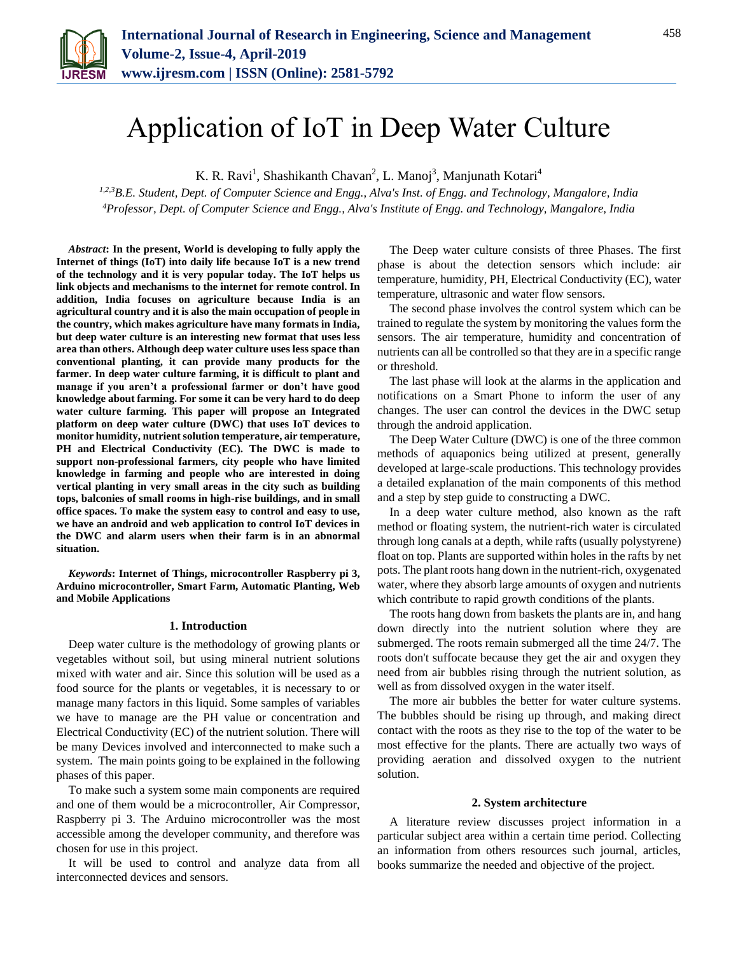

# Application of IoT in Deep Water Culture

K. R. Ravi<sup>1</sup>, Shashikanth Chavan<sup>2</sup>, L. Manoj<sup>3</sup>, Manjunath Kotari<sup>4</sup>

*1,2,3B.E. Student, Dept. of Computer Science and Engg., Alva's Inst. of Engg. and Technology, Mangalore, India 4Professor, Dept. of Computer Science and Engg., Alva's Institute of Engg. and Technology, Mangalore, India*

*Abstract***: In the present, World is developing to fully apply the Internet of things (IoT) into daily life because IoT is a new trend of the technology and it is very popular today. The IoT helps us link objects and mechanisms to the internet for remote control. In addition, India focuses on agriculture because India is an agricultural country and it is also the main occupation of people in the country, which makes agriculture have many formats in India, but deep water culture is an interesting new format that uses less area than others. Although deep water culture uses less space than conventional planting, it can provide many products for the farmer. In deep water culture farming, it is difficult to plant and manage if you aren't a professional farmer or don't have good knowledge about farming. For some it can be very hard to do deep water culture farming. This paper will propose an Integrated platform on deep water culture (DWC) that uses IoT devices to monitor humidity, nutrient solution temperature, air temperature, PH and Electrical Conductivity (EC). The DWC is made to support non-professional farmers, city people who have limited knowledge in farming and people who are interested in doing vertical planting in very small areas in the city such as building tops, balconies of small rooms in high-rise buildings, and in small office spaces. To make the system easy to control and easy to use, we have an android and web application to control IoT devices in the DWC and alarm users when their farm is in an abnormal situation.**

*Keywords***: Internet of Things, microcontroller Raspberry pi 3, Arduino microcontroller, Smart Farm, Automatic Planting, Web and Mobile Applications**

#### **1. Introduction**

Deep water culture is the methodology of growing plants or vegetables without soil, but using mineral nutrient solutions mixed with water and air. Since this solution will be used as a food source for the plants or vegetables, it is necessary to or manage many factors in this liquid. Some samples of variables we have to manage are the PH value or concentration and Electrical Conductivity (EC) of the nutrient solution. There will be many Devices involved and interconnected to make such a system. The main points going to be explained in the following phases of this paper.

To make such a system some main components are required and one of them would be a microcontroller, Air Compressor, Raspberry pi 3. The Arduino microcontroller was the most accessible among the developer community, and therefore was chosen for use in this project.

It will be used to control and analyze data from all interconnected devices and sensors.

The Deep water culture consists of three Phases. The first phase is about the detection sensors which include: air temperature, humidity, PH, Electrical Conductivity (EC), water temperature, ultrasonic and water flow sensors.

The second phase involves the control system which can be trained to regulate the system by monitoring the values form the sensors. The air temperature, humidity and concentration of nutrients can all be controlled so that they are in a specific range or threshold.

The last phase will look at the alarms in the application and notifications on a Smart Phone to inform the user of any changes. The user can control the devices in the DWC setup through the android application.

The Deep Water Culture (DWC) is one of the three common methods of aquaponics being utilized at present, generally developed at large-scale productions. This technology provides a detailed explanation of the main components of this method and a step by step guide to constructing a DWC.

In a deep water culture method, also known as the raft method or floating system, the nutrient-rich water is circulated through long canals at a depth, while rafts (usually polystyrene) float on top. Plants are supported within holes in the rafts by net pots. The plant roots hang down in the nutrient-rich, oxygenated water, where they absorb large amounts of oxygen and nutrients which contribute to rapid growth conditions of the plants.

The roots hang down from baskets the plants are in, and hang down directly into the nutrient solution where they are submerged. The roots remain submerged all the time 24/7. The roots don't suffocate because they get the air and oxygen they need from air bubbles rising through the nutrient solution, as well as from dissolved oxygen in the water itself.

The more air bubbles the better for water culture systems. The bubbles should be rising up through, and making direct contact with the roots as they rise to the top of the water to be most effective for the plants. There are actually two ways of providing aeration and dissolved oxygen to the nutrient solution.

## **2. System architecture**

A literature review discusses project information in a particular subject area within a certain time period. Collecting an information from others resources such journal, articles, books summarize the needed and objective of the project.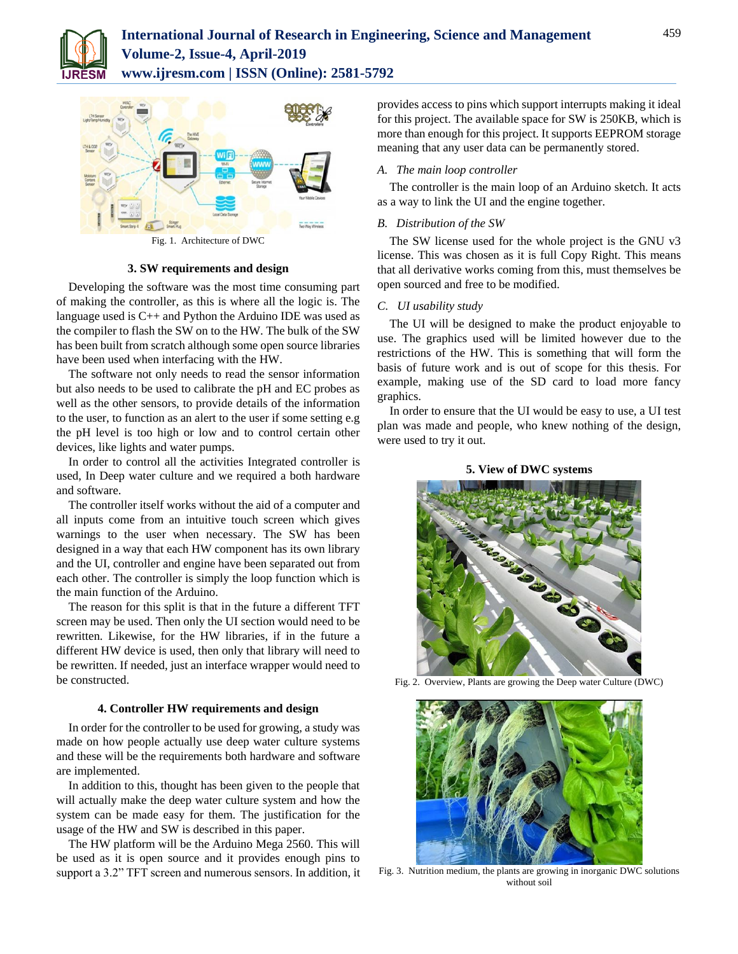



Fig. 1. Architecture of DWC

**3. SW requirements and design**

Developing the software was the most time consuming part of making the controller, as this is where all the logic is. The language used is C++ and Python the Arduino IDE was used as the compiler to flash the SW on to the HW. The bulk of the SW has been built from scratch although some open source libraries have been used when interfacing with the HW.

The software not only needs to read the sensor information but also needs to be used to calibrate the pH and EC probes as well as the other sensors, to provide details of the information to the user, to function as an alert to the user if some setting e.g the pH level is too high or low and to control certain other devices, like lights and water pumps.

In order to control all the activities Integrated controller is used, In Deep water culture and we required a both hardware and software.

The controller itself works without the aid of a computer and all inputs come from an intuitive touch screen which gives warnings to the user when necessary. The SW has been designed in a way that each HW component has its own library and the UI, controller and engine have been separated out from each other. The controller is simply the loop function which is the main function of the Arduino.

The reason for this split is that in the future a different TFT screen may be used. Then only the UI section would need to be rewritten. Likewise, for the HW libraries, if in the future a different HW device is used, then only that library will need to be rewritten. If needed, just an interface wrapper would need to be constructed.

## **4. Controller HW requirements and design**

In order for the controller to be used for growing, a study was made on how people actually use deep water culture systems and these will be the requirements both hardware and software are implemented.

In addition to this, thought has been given to the people that will actually make the deep water culture system and how the system can be made easy for them. The justification for the usage of the HW and SW is described in this paper.

The HW platform will be the Arduino Mega 2560. This will be used as it is open source and it provides enough pins to support a 3.2" TFT screen and numerous sensors. In addition, it provides access to pins which support interrupts making it ideal for this project. The available space for SW is 250KB, which is more than enough for this project. It supports EEPROM storage meaning that any user data can be permanently stored.

# *A. The main loop controller*

The controller is the main loop of an Arduino sketch. It acts as a way to link the UI and the engine together.

# *B. Distribution of the SW*

The SW license used for the whole project is the GNU v3 license. This was chosen as it is full Copy Right. This means that all derivative works coming from this, must themselves be open sourced and free to be modified.

## *C. UI usability study*

The UI will be designed to make the product enjoyable to use. The graphics used will be limited however due to the restrictions of the HW. This is something that will form the basis of future work and is out of scope for this thesis. For example, making use of the SD card to load more fancy graphics.

In order to ensure that the UI would be easy to use, a UI test plan was made and people, who knew nothing of the design, were used to try it out.

## **5. View of DWC systems**



Fig. 2. Overview, Plants are growing the Deep water Culture (DWC)



Fig. 3. Nutrition medium, the plants are growing in inorganic DWC solutions without soil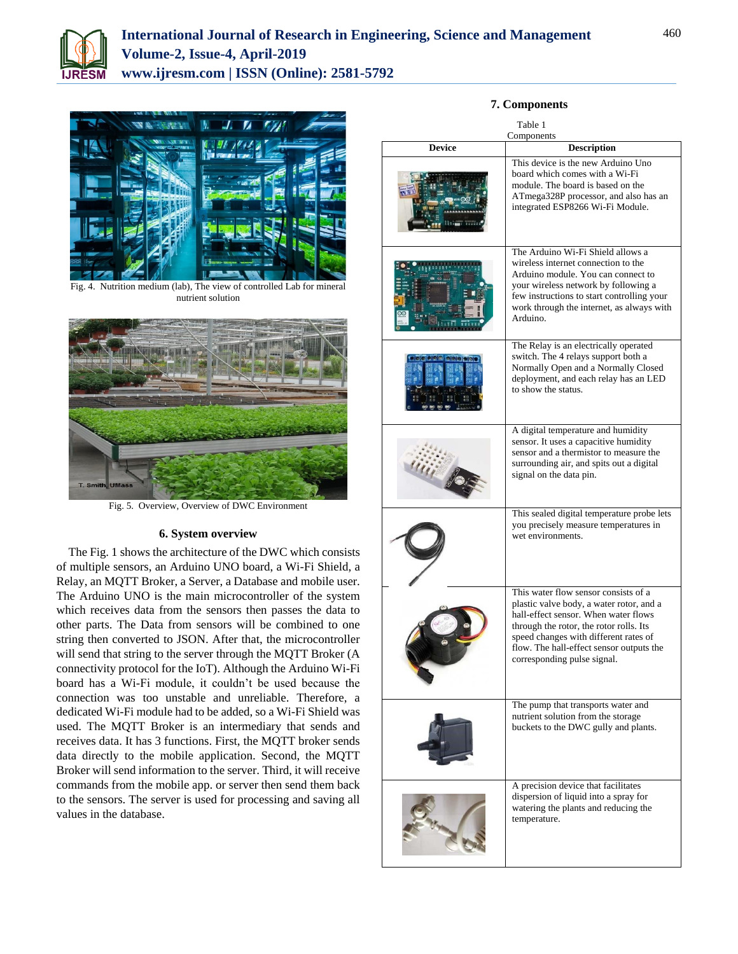



Fig. 4. Nutrition medium (lab), The view of controlled Lab for mineral nutrient solution



Fig. 5. Overview, Overview of DWC Environment

## **6. System overview**

The Fig. 1 shows the architecture of the DWC which consists of multiple sensors, an Arduino UNO board, a Wi-Fi Shield, a Relay, an MQTT Broker, a Server, a Database and mobile user. The Arduino UNO is the main microcontroller of the system which receives data from the sensors then passes the data to other parts. The Data from sensors will be combined to one string then converted to JSON. After that, the microcontroller will send that string to the server through the MQTT Broker (A connectivity protocol for the IoT). Although the Arduino Wi-Fi board has a Wi-Fi module, it couldn't be used because the connection was too unstable and unreliable. Therefore, a dedicated Wi-Fi module had to be added, so a Wi-Fi Shield was used. The MQTT Broker is an intermediary that sends and receives data. It has 3 functions. First, the MQTT broker sends data directly to the mobile application. Second, the MQTT Broker will send information to the server. Third, it will receive commands from the mobile app. or server then send them back to the sensors. The server is used for processing and saving all values in the database.

# Table 1 Components **Device Description**  This device is the new Arduino Uno board which comes with a Wi-Fi module. The board is based on the ATmega328P processor, and also has an integrated ESP8266 Wi-Fi Module. The Arduino Wi-Fi Shield allows a wireless internet connection to the Arduino module. You can connect to your wireless network by following a few instructions to start controlling your work through the internet, as always with Arduino. The Relay is an electrically operated switch. The 4 relays support both a Normally Open and a Normally Closed deployment, and each relay has an LED to show the status. A digital temperature and humidity sensor. It uses a capacitive humidity sensor and a thermistor to measure the surrounding air, and spits out a digital signal on the data pin.



I

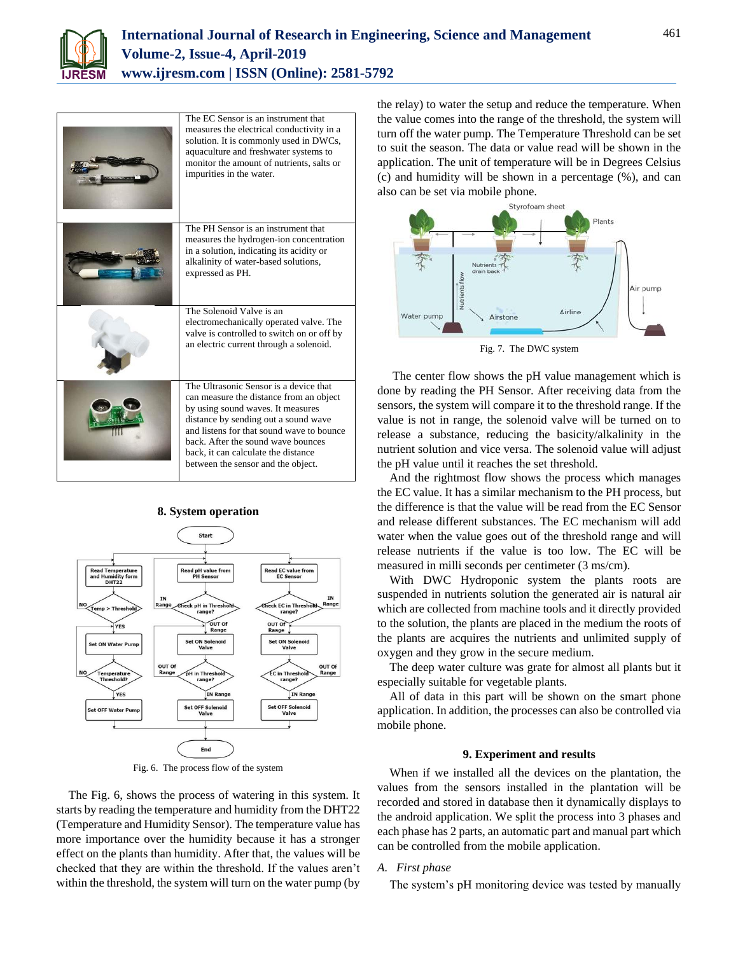

| The EC Sensor is an instrument that<br>measures the electrical conductivity in a<br>solution. It is commonly used in DWCs,<br>aquaculture and freshwater systems to<br>monitor the amount of nutrients, salts or<br>impurities in the water.                                                                                   |
|--------------------------------------------------------------------------------------------------------------------------------------------------------------------------------------------------------------------------------------------------------------------------------------------------------------------------------|
| The PH Sensor is an instrument that<br>measures the hydrogen-ion concentration<br>in a solution, indicating its acidity or<br>alkalinity of water-based solutions,<br>expressed as PH.                                                                                                                                         |
| The Solenoid Valve is an<br>electromechanically operated valve. The<br>valve is controlled to switch on or off by<br>an electric current through a solenoid.                                                                                                                                                                   |
| The Ultrasonic Sensor is a device that<br>can measure the distance from an object<br>by using sound waves. It measures<br>distance by sending out a sound wave<br>and listens for that sound wave to bounce<br>back. After the sound wave bounces<br>back, it can calculate the distance<br>between the sensor and the object. |

# **8. System operation**



Fig. 6. The process flow of the system

The Fig. 6, shows the process of watering in this system. It starts by reading the temperature and humidity from the DHT22 (Temperature and Humidity Sensor). The temperature value has more importance over the humidity because it has a stronger effect on the plants than humidity. After that, the values will be checked that they are within the threshold. If the values aren't within the threshold, the system will turn on the water pump (by the relay) to water the setup and reduce the temperature. When the value comes into the range of the threshold, the system will turn off the water pump. The Temperature Threshold can be set to suit the season. The data or value read will be shown in the application. The unit of temperature will be in Degrees Celsius (c) and humidity will be shown in a percentage (%), and can also can be set via mobile phone.



Fig. 7. The DWC system

The center flow shows the pH value management which is done by reading the PH Sensor. After receiving data from the sensors, the system will compare it to the threshold range. If the value is not in range, the solenoid valve will be turned on to release a substance, reducing the basicity/alkalinity in the nutrient solution and vice versa. The solenoid value will adjust the pH value until it reaches the set threshold.

And the rightmost flow shows the process which manages the EC value. It has a similar mechanism to the PH process, but the difference is that the value will be read from the EC Sensor and release different substances. The EC mechanism will add water when the value goes out of the threshold range and will release nutrients if the value is too low. The EC will be measured in milli seconds per centimeter (3 ms/cm).

With DWC Hydroponic system the plants roots are suspended in nutrients solution the generated air is natural air which are collected from machine tools and it directly provided to the solution, the plants are placed in the medium the roots of the plants are acquires the nutrients and unlimited supply of oxygen and they grow in the secure medium.

The deep water culture was grate for almost all plants but it especially suitable for vegetable plants.

All of data in this part will be shown on the smart phone application. In addition, the processes can also be controlled via mobile phone.

## **9. Experiment and results**

When if we installed all the devices on the plantation, the values from the sensors installed in the plantation will be recorded and stored in database then it dynamically displays to the android application. We split the process into 3 phases and each phase has 2 parts, an automatic part and manual part which can be controlled from the mobile application.

# *A. First phase*

The system's pH monitoring device was tested by manually